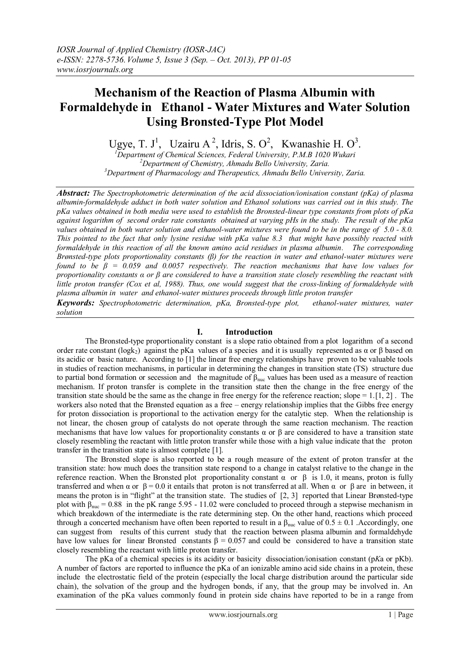# **Mechanism of the Reaction of Plasma Albumin with Formaldehyde in Ethanol - Water Mixtures and Water Solution Using Bronsted-Type Plot Model**

Ugye, T. J<sup>1</sup>, Uzairu A<sup>2</sup>, Idris, S. O<sup>2</sup>, Kwanashie H. O<sup>3</sup>.

*<sup>1</sup>Department of Chemical Sciences, Federal University, P.M.B 1020 Wukari <sup>2</sup>Department of Chemistry, Ahmadu Bello University, Zaria. <sup>3</sup>Department of Pharmacology and Therapeutics, Ahmadu Bello University, Zaria.*

*Abstract: The Spectrophotometric determination of the acid dissociation/ionisation constant (pKa) of plasma albumin-formaldehyde adduct in both water solution and Ethanol solutions was carried out in this study. The pKa values obtained in both media were used to establish the Bronsted-linear type constants from plots of pKa against logarithm of second order rate constants obtained at varying pHs in the study. The result of the pKa values obtained in both water solution and ethanol-water mixtures were found to be in the range of 5.0 - 8.0. This pointed to the fact that only lysine residue with pKa value 8.3 that might have possibly reacted with formaldehyde in this reaction of all the known amino acid residues in plasma albumin. The corresponding Brønsted-type plots proportionality constants (β) for the reaction in water and ethanol-water mixtures were found to be β = 0.059 and 0.0057 respectively. The reaction mechanisms that have low values for proportionality constants α or β are considered to have a [transition state](http://en.wikipedia.org/wiki/Transition_state) closely resembling the reactant with little proton transfer (Cox et al, 1988). Thus, one would suggest that the cross-linking of formaldehyde with plasma albumin in water and ethanol-water mixtures proceeds through little proton transfer Keywords: Spectrophotometric determination, pKa, Bronsted-type plot, ethanol-water mixtures, water* 

*solution*

## **I. Introduction**

 The Bronsted-type proportionality constant is a slope ratio obtained from a plot logarithm of a second order rate constant (logk<sub>2</sub>) against the pKa values of a species and it is usually represented as  $\alpha$  or  $\beta$  based on its acidic or basic nature. According to [1] the linear free energy relationships have proven to be valuable tools in studies of reaction mechanisms, in particular in determining the changes in transition state (TS) structure due to partial bond formation or secession and the magnitude of  $\beta_{\text{nuc}}$  values has been used as a measure of reaction mechanism. If proton transfer is complete in the transition state then the change in the free energy of the transition state should be the same as the change in free energy for the reference reaction; slope  $= 1.1, 2$ . The workers also noted that the Brønsted equation as a free – energy relationship implies that the [Gibbs free energy](http://en.wikipedia.org/wiki/Gibbs_free_energy) for proton dissociation is proportional to the [activation energy](http://en.wikipedia.org/wiki/Activation_energy) for the catalytic step. When the relationship is not linear, the chosen group of catalysts do not operate through the same [reaction mechanism.](http://en.wikipedia.org/wiki/Reaction_mechanism) The reaction mechanisms that have low values for proportionality constants  $\alpha$  or  $\beta$  are considered to have a [transition state](http://en.wikipedia.org/wiki/Transition_state) closely resembling the reactant with little proton transfer while those with a high value indicate that the proton transfer in the transition state is almost complete [1].

The Bronsted slope is also reported to be a rough measure of the extent of proton transfer at the transition state: how much does the transition state respond to a change in catalyst relative to the change in the reference reaction. When the Bronsted plot proportionality constant  $\alpha$  or β is 1.0, it means, proton is fully transferred and when α or  $\beta = 0.0$  it entails that proton is not transferred at all. When α or  $\beta$  are in between, it means the proton is in "flight" at the transition state. The studies of [2, 3] reported that Linear Brønsted-type plot with  $\beta_{\text{nuc}} = 0.88$  in the pK range 5.95 - 11.02 were concluded to proceed through a stepwise mechanism in which breakdown of the intermediate is the rate determining step. On the other hand, reactions which proceed through a concerted mechanism have often been reported to result in a  $\beta_{\text{nuc}}$  value of 0.5  $\pm$  0.1 .Accordingly, one can suggest from results of this current study that the reaction between plasma albumin and formaldehyde have low values for linear Bronsted constants  $\beta = 0.057$  and could be considered to have a [transition state](http://en.wikipedia.org/wiki/Transition_state) closely resembling the reactant with little proton transfer.

The pKa of a chemical species is its acidity or basicity dissociation/ionisation constant (p*K*a or pKb). A number of factors are reported to influence the pKa of an ionizable amino acid side chains in a protein, these include the electrostatic field of the protein (especially the local charge distribution around the particular side chain), the solvation of the group and the hydrogen bonds, if any, that the group may be involved in. An examination of the pKa values commonly found in protein side chains have reported to be in a range from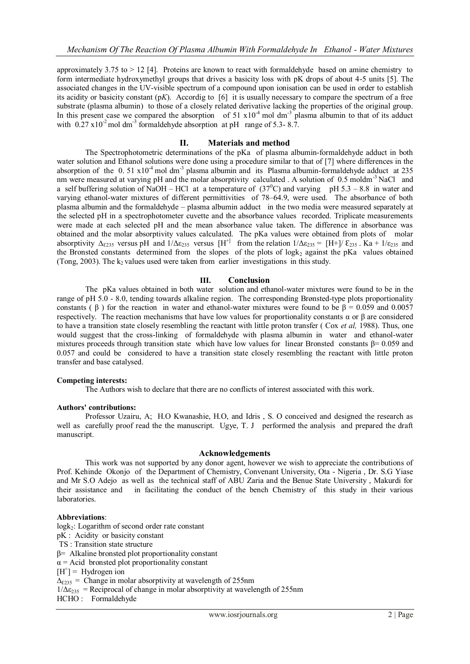approximately  $3.75$  to  $> 12$  [4]. Proteins are known to react with formaldehyde based on amine chemistry to form intermediate hydroxymethyl groups that drives a basicity loss with pK drops of about 4-5 units [5]. The associated changes in the UV-visible spectrum of a compound upon ionisation can be used in order to establish its acidity or basicity constant (p*K*). Accordig to [6] it is usually necessary to compare the spectrum of a free substrate (plasma albumin) to those of a closely related derivative lacking the properties of the original group. In this present case we compared the absorption of  $51 \times 10^{-4}$  mol dm<sup>-3</sup> plasma albumin to that of its adduct with  $0.27 \times 10^{-2}$  mol dm<sup>-3</sup> formaldehyde absorption at pH range of 5.3-8.7.

## **II. Materials and method**

The Spectrophotometric determinations of the pKa of plasma albumin-formaldehyde adduct in both water solution and Ethanol solutions were done using a procedure similar to that of [7] where differences in the absorption of the 0.51  $x10<sup>4</sup>$  mol dm<sup>-3</sup> plasma albumin and its Plasma albumin-formaldehyde adduct at 235 nm were measured at varying pH and the molar absorptivity calculated . A solution of  $0.5 \text{ mod/m}^3$  NaCl and a self buffering solution of NaOH – HCl at a temperature of  $(37^{\circ}$ C) and varying pH 5.3 – 8.8 in water and varying ethanol-water mixtures of different permittivities of 78–64.9, were used. The absorbance of both plasma albumin and the formaldehyde – plasma albumin adduct in the two media were measured separately at the selected pH in a spectrophotometer cuvette and the absorbance values recorded. Triplicate measurements were made at each selected pH and the mean absorbance value taken. The difference in absorbance was obtained and the molar absorptivity values calculated. The pKa values were obtained from plots of molar absorptivity  $\Delta_{\epsilon_2}$  versus pH and  $1/\Delta \epsilon_{235}$  versus  $[H^+]$  from the relation  $1/\Delta \epsilon_{235} = [H^+] / \epsilon_{235}$ . Ka +  $1/\epsilon_{235}$  and the Bronsted constants determined from the slopes of the plots of logk<sub>2</sub> against the pKa values obtained (Tong, 2003). The  $k_2$  values used were taken from earlier investigations in this study.

## **III. Conclusion**

The pKa values obtained in both water solution and ethanol-water mixtures were found to be in the range of pH 5.0 - 8.0, tending towards alkaline region. The corresponding Brønsted-type plots proportionality constants ( $\beta$ ) for the reaction in water and ethanol-water mixtures were found to be  $\beta = 0.059$  and 0.0057 respectively. The reaction mechanisms that have low values for proportionality constants α or β are considered to have a [transition state](http://en.wikipedia.org/wiki/Transition_state) closely resembling the reactant with little proton transfer ( Cox *et al,* 1988). Thus, one would suggest that the cross-linking of formaldehyde with plasma albumin in water and ethanol-water mixtures proceeds through transition state which have low values for linear Bronsted constants β= 0.059 and 0.057 and could be considered to have a [transition state](http://en.wikipedia.org/wiki/Transition_state) closely resembling the reactant with little proton transfer and base catalysed.

#### **Competing interests:**

The Authors wish to declare that there are no conflicts of interest associated with this work.

#### **Authors' contributions:**

Professor Uzairu, A; H.O Kwanashie, H.O, and Idris , S. O conceived and designed the research as well as carefully proof read the the manuscript. Ugye, T. J performed the analysis and prepared the draft manuscript.

#### **Acknowledgements**

This work was not supported by any donor agent, however we wish to appreciate the contributions of Prof. Kehinde Okonjo of the Department of Chemistry, Convenant University, Ota - Nigeria , Dr. S.G Yiase and Mr S.O Adejo as well as the technical staff of ABU Zaria and the Benue State University , Makurdi for their assistance and in facilitating the conduct of the bench Chemistry of this study in their various laboratories.

#### **Abbreviations**:

 $log k<sub>2</sub>$ : Logarithm of second order rate constant pK : Acidity or basicity constant TS : Transition state structure β= Alkaline bronsted plot proportionality constant  $\alpha$  = Acid bronsted plot proportionality constant  $[H^+] =$  Hydrogen ion  $\Delta_{\epsilon 235}$  = Change in molar absorptivity at wavelength of 255nm  $1/\Delta \epsilon_{235}$  = Reciprocal of change in molar absorptivity at wavelength of 255nm HCHO : Formaldehyde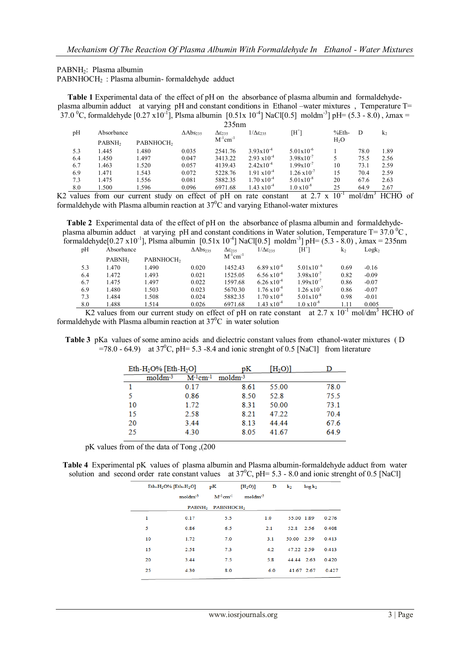PABNH2: Plasma albumin

PABNHOCH<sup>2</sup> : Plasma albumin- formaldehyde adduct

**Table 1** Experimental data of the effect of pH on the absorbance of plasma albumin and formaldehydeplasma albumin adduct at varying pH and constant conditions in Ethanol –water mixtures , Temperature T= 37.0 <sup>o</sup>C, formaldehyde [0.27 x10<sup>-1</sup>], Plsma albumin [0.51x 10<sup>-4</sup>] NaCl[0.5] moldm<sup>-3</sup>] pH= (5.3 - 8.0),  $\lambda$ max =

| 235nm |                    |                       |                             |                           |                           |                       |          |      |                |
|-------|--------------------|-----------------------|-----------------------------|---------------------------|---------------------------|-----------------------|----------|------|----------------|
| pH    | Absorbance         |                       | $\Delta$ Abs <sub>235</sub> | $\Delta \epsilon_{235}$   | $1/\Delta \epsilon_{235}$ | [H*]                  | $%$ Eth- | D    | k <sub>2</sub> |
|       | PABNH <sub>2</sub> | PABNHOCH <sub>2</sub> |                             | $M^{-1}$ cm <sup>-1</sup> |                           |                       | $H_2O$   |      |                |
| 5.3   | 1.445              | 1.480                 | 0.035                       | 2541.76                   | $3.93 \times 10^{-4}$     | $5.01x10^{-6}$        |          | 78.0 | 1.89           |
| 6.4   | 1.450              | 1.497                 | 0.047                       | 3413.22                   | $2.93 \times 10^{-4}$     | $3.98x10^{-7}$        |          | 75.5 | 2.56           |
| 6.7   | 1.463              | 1.520                 | 0.057                       | 4139.43                   | $2.42 \times 10^{-4}$     | $1.99x10^{-7}$        | 10       | 73.1 | 2.59           |
| 6.9   | 1.471              | 1.543                 | 0.072                       | 5228.76                   | $1.91 \times 10^{-4}$     | $1.26 \times 10^{-7}$ | 15       | 70.4 | 2.59           |
| 7.3   | 1.475              | 1.556                 | 0.081                       | 5882.35                   | $1.70 \times 10^{-4}$     | $5.01x10^{-8}$        | 20       | 67.6 | 2.63           |
| 8.0   | 1.500              | 1.596                 | 0.096                       | 6971.68                   | $1.43 \times 10^{-4}$     | $1.0 \times 10^{-8}$  | 25       | 64.9 | 2.67           |

K2 values from our current study on effect of pH on rate constant at  $2.7 \times 10^{-1}$  mol/dm<sup>3</sup> HCHO of formaldehyde with Plasma albumin reaction at  $37^{\circ}$ C and varying Ethanol-water mixtures

**Table 2** Experimental data of the effect of pH on the absorbance of plasma albumin and formaldehydeplasma albumin adduct at varying pH and constant conditions in Water solution, Temperature T= 37.0 °C, formaldehyde $[0.27 \times 10^{-1}]$ , Plsma albumin  $[0.51 \times 10^{-4}]$  NaCl $[0.5]$  moldm<sup>-3</sup>] pH=  $(5.3 - 8.0)$ ,  $\lambda$ max = 235nm

| pH  |                    | Absorbance                                                                                                            |       | $\Delta \varepsilon_{235}$ | $1/\Delta \epsilon_{235}$ | $[H^+]$               | k <sub>2</sub> | Logk <sub>2</sub> |  |
|-----|--------------------|-----------------------------------------------------------------------------------------------------------------------|-------|----------------------------|---------------------------|-----------------------|----------------|-------------------|--|
|     | PABNH <sub>2</sub> | PABNHOCH <sub>2</sub>                                                                                                 |       | $M^{-1}$ cm <sup>-1</sup>  |                           |                       |                |                   |  |
| 5.3 | 1.470              | 1.490                                                                                                                 | 0.020 | 1452.43                    | $6.89 \times 10^{-4}$     | $5.01x10^{-6}$        | 0.69           | $-0.16$           |  |
| 6.4 | 1.472              | 1.493                                                                                                                 | 0.021 | 1525.05                    | $6.56 \times 10^{-4}$     | $3.98x10^{-7}$        | 0.82           | $-0.09$           |  |
| 6.7 | 1.475              | 1.497                                                                                                                 | 0.022 | 1597.68                    | $6.26 \times 10^{-4}$     | $1.99x10^{-7}$        | 0.86           | $-0.07$           |  |
| 6.9 | 1.480              | 1.503                                                                                                                 | 0.023 | 5670.30                    | $1.76 \times 10^{-4}$     | $1.26 \times 10^{-7}$ | 0.86           | $-0.07$           |  |
| 7.3 | 1.484              | 1.508                                                                                                                 | 0.024 | 5882.35                    | $1.70 \times 10^{-4}$     | $5.01 \times 10^{-8}$ | 0.98           | $-0.01$           |  |
| 8.0 | 1.488              | 1.514                                                                                                                 | 0.026 | 6971.68                    | $1.43 \text{ x} 10^{-4}$  | $1.0 \times 10^{-8}$  | 1.11           | 0.005             |  |
|     |                    | K2 values from our current study on effect of pH on rate constant at $2.7 \times 10^{-1}$ mol/dm <sup>3</sup> HCHO of |       |                            |                           |                       |                |                   |  |

formaldehyde with Plasma albumin reaction at  $37^{\circ}$ C in water solution

**Table 3** pKa values of some amino acids and dielectric constant values from ethanol-water mixtures ( D =78.0 - 64.9) at  $37^{\circ}$ C, pH= 5.3 -8.4 and ionic strenght of 0.5 [NaCl] from literature

|    | Eth-H <sub>2</sub> O% [Eth-H <sub>2</sub> O] |                           | рK        | [H <sub>2</sub> O] |      |
|----|----------------------------------------------|---------------------------|-----------|--------------------|------|
|    | $moldm-3$                                    | $M^{-1}$ cm <sup>-1</sup> | $moldm-3$ |                    |      |
|    |                                              | 0.17                      | 8.61      | 55.00              | 78.0 |
| 5  |                                              | 0.86                      | 8.50      | 52.8               | 75.5 |
| 10 |                                              | 1.72                      | 8.31      | 50.00              | 73.1 |
| 15 |                                              | 2.58                      | 8.21      | 47.22              | 70.4 |
| 20 |                                              | 3.44                      | 8.13      | 44.44              | 67.6 |
| 25 |                                              | 4.30                      | 8.05      | 41.67              | 64.9 |
|    |                                              |                           |           |                    |      |

pK values from of the data of Tong ,(200

**Table 4** Experimental pK values of plasma albumin and Plasma albumin-formaldehyde adduct from water solution and second order rate constant values at  $37^{\circ}$ C, pH= 5.3 - 8.0 and ionic strenght of 0.5 [NaCl]

| $Eth-H2O%$ [Eth-H <sub>2</sub> O] |           | pК                                       | $[H_2O]$ | D   | $\mathbf{k}_2$ | log k <sub>2</sub> |       |
|-----------------------------------|-----------|------------------------------------------|----------|-----|----------------|--------------------|-------|
|                                   | $moldm-3$ | $M^{-1}$ cm <sup>-1</sup>                | $mod-3$  |     |                |                    |       |
|                                   |           | PABNH <sub>2</sub> PABNHOCH <sub>2</sub> |          |     |                |                    |       |
| 1                                 | 0.17      | 5.5                                      |          | 1.0 | 55.00 1.89     |                    | 0.276 |
| 5                                 | 0.86      | 6.5                                      |          | 2.1 | 52.8 2.56      |                    | 0.408 |
| 10                                | 1.72      | 7.0                                      |          | 3.1 | 50.00 2.59     |                    | 0.413 |
| 15                                | 2.58      | 7.3                                      |          | 4.2 | 47.22 2.59     |                    | 0.413 |
| 20                                | 3.44      | 7.5                                      |          | 5.8 | 44.44 2.63     |                    | 0.420 |
| 25                                | 4.30      | 8.0                                      |          | 6.0 | 41.67 2.67     |                    | 0.427 |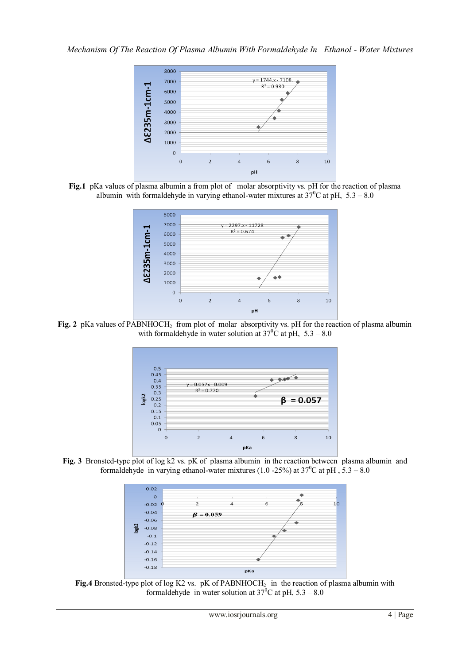

Fig.1 pKa values of plasma albumin a from plot of molar absorptivity vs. pH for the reaction of plasma albumin with formaldehyde in varying ethanol-water mixtures at  $37^{\circ}$ C at pH,  $5.3 - 8.0$ 



Fig. 2 pKa values of PABNHOCH<sub>2</sub> from plot of molar absorptivity vs. pH for the reaction of plasma albumin with formaldehyde in water solution at  $37^{\circ}$ C at pH,  $5.3 - 8.0$ 



**Fig. 3** Bronsted-type plot of log k2 vs. pK of plasma albumin in the reaction between plasma albumin and formaldehyde in varying ethanol-water mixtures (1.0 -25%) at  $37^{\circ}$ C at pH,  $5.3 - 8.0$ 



Fig.4 Bronsted-type plot of log K2 vs. pK of PABNHOCH<sub>2</sub> in the reaction of plasma albumin with formaldehyde in water solution at  $37^{\circ}$ C at pH,  $5.3 - 8.0$